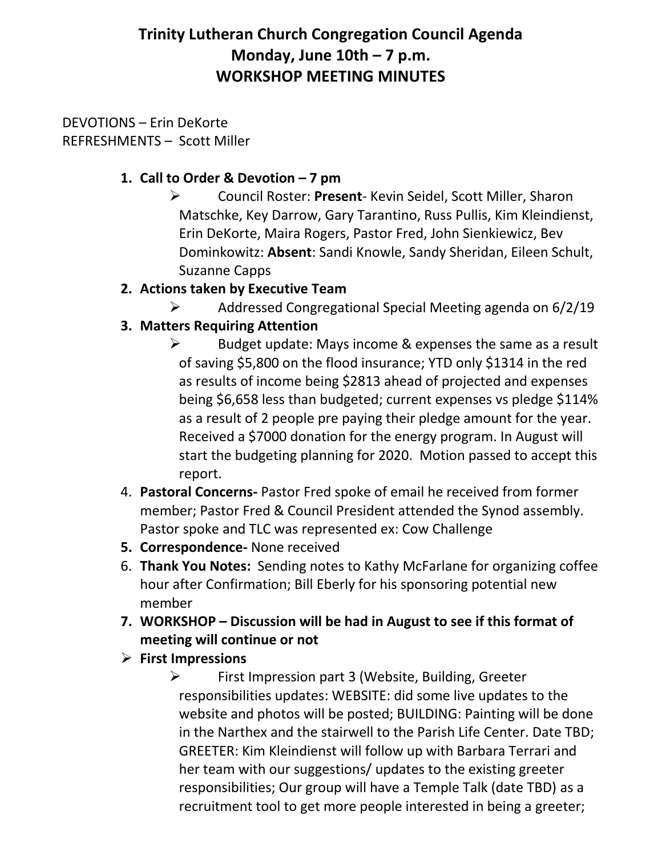# **Trinity Lutheran Church Congregation Council Agenda Monday, June 10th – 7 p.m. WORKSHOP MEETING MINUTES**

DEVOTIONS – Erin DeKorte REFRESHMENTS – Scott Miller

#### **1. Call to Order & Devotion – 7 pm**

- Council Roster: **Present** Kevin Seidel, Scott Miller, Sharon Matschke, Key Darrow, Gary Tarantino, Russ Pullis, Kim Kleindienst, Erin DeKorte, Maira Rogers, Pastor Fred, John Sienkiewicz, Bev Dominkowitz: **Absent**: Sandi Knowle, Sandy Sheridan, Eileen Schult, Suzanne Capps
- **2. Actions taken by Executive Team**
	- $\triangleright$  Addressed Congregational Special Meeting agenda on 6/2/19
- **3. Matters Requiring Attention**
	- $\triangleright$  Budget update: Mays income & expenses the same as a result of saving \$5,800 on the flood insurance; YTD only \$1314 in the red as results of income being \$2813 ahead of projected and expenses being \$6,658 less than budgeted; current expenses vs pledge \$114% as a result of 2 people pre paying their pledge amount for the year. Received a \$7000 donation for the energy program. In August will start the budgeting planning for 2020. Motion passed to accept this report.
- 4. **Pastoral Concerns-** Pastor Fred spoke of email he received from former member; Pastor Fred & Council President attended the Synod assembly. Pastor spoke and TLC was represented ex: Cow Challenge
- **5. Correspondence-** None received
- 6. **Thank You Notes:** Sending notes to Kathy McFarlane for organizing coffee hour after Confirmation; Bill Eberly for his sponsoring potential new member
- **7. WORKSHOP – Discussion will be had in August to see if this format of meeting will continue or not**
- **First Impressions**

 First Impression part 3 (Website, Building, Greeter responsibilities updates: WEBSITE: did some live updates to the website and photos will be posted; BUILDING: Painting will be done in the Narthex and the stairwell to the Parish Life Center. Date TBD; GREETER: Kim Kleindienst will follow up with Barbara Terrari and her team with our suggestions/ updates to the existing greeter responsibilities; Our group will have a Temple Talk (date TBD) as a recruitment tool to get more people interested in being a greeter;